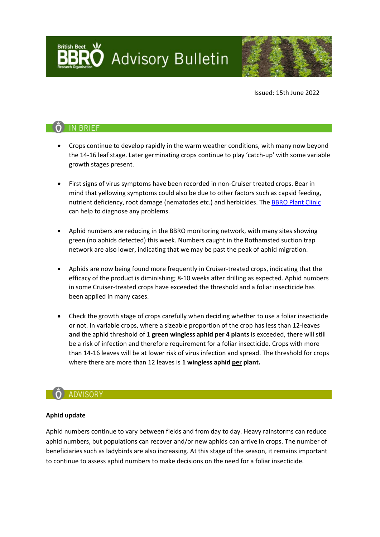**Advisory Bulletin** 

Issued: 15th June 2022

# O IN BRIEF

- Crops continue to develop rapidly in the warm weather conditions, with many now beyond the 14-16 leaf stage. Later germinating crops continue to play 'catch-up' with some variable growth stages present.
- First signs of virus symptoms have been recorded in non-Cruiser treated crops. Bear in mind that yellowing symptoms could also be due to other factors such as capsid feeding, nutrient deficiency, root damage (nematodes etc.) and herbicides. The **BBRO Plant Clinic** can help to diagnose any problems.
- Aphid numbers are reducing in the BBRO monitoring network, with many sites showing green (no aphids detected) this week. Numbers caught in the Rothamsted suction trap network are also lower, indicating that we may be past the peak of aphid migration.
- Aphids are now being found more frequently in Cruiser-treated crops, indicating that the efficacy of the product is diminishing; 8-10 weeks after drilling as expected. Aphid numbers in some Cruiser-treated crops have exceeded the threshold and a foliar insecticide has been applied in many cases.
- Check the growth stage of crops carefully when deciding whether to use a foliar insecticide or not. In variable crops, where a sizeable proportion of the crop has less than 12-leaves **and** the aphid threshold of **1 green wingless aphid per 4 plants** is exceeded, there will still be a risk of infection and therefore requirement for a foliar insecticide. Crops with more than 14-16 leaves will be at lower risk of virus infection and spread. The threshold for crops where there are more than 12 leaves is **1 wingless aphid per plant.**

## **ADVISORY**

#### **Aphid update**

Aphid numbers continue to vary between fields and from day to day. Heavy rainstorms can reduce aphid numbers, but populations can recover and/or new aphids can arrive in crops. The number of beneficiaries such as ladybirds are also increasing. At this stage of the season, it remains important to continue to assess aphid numbers to make decisions on the need for a foliar insecticide.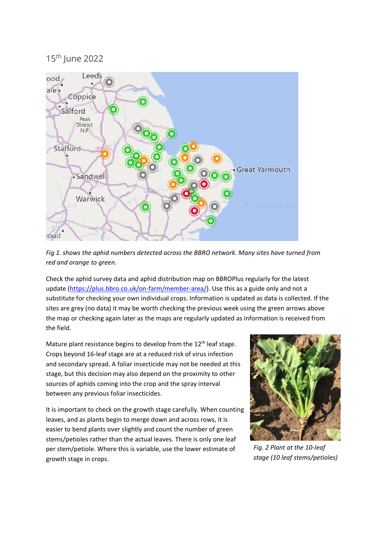15th June 2022



*Fig 1. shows the aphid numbers detected across the BBRO network. Many sites have turned from red and orange to green.*

Check the aphid survey data and aphid distribution map on BBROPlus regularly for the latest update [\(https://plus.bbro.co.uk/on-farm/member-area/\)](https://plus.bbro.co.uk/on-farm/member-area/). Use this as a guide only and not a substitute for checking your own individual crops. Information is updated as data is collected. If the sites are grey (no data) it may be worth checking the previous week using the green arrows above the map or checking again later as the maps are regularly updated as information is received from the field.

Mature plant resistance begins to develop from the  $12<sup>th</sup>$  leaf stage. Crops beyond 16-leaf stage are at a reduced risk of virus infection and secondary spread. A foliar insecticide may not be needed at this stage, but this decision may also depend on the proximity to other sources of aphids coming into the crop and the spray interval between any previous foliar insecticides.

It is important to check on the growth stage carefully. When counting leaves, and as plants begin to merge down and across rows, it is easier to bend plants over slightly and count the number of green stems/petioles rather than the actual leaves. There is only one leaf per stem/petiole. Where this is variable, use the lower estimate of growth stage in crops.



*Fig. 2 Plant at the 10-leaf stage (10 leaf stems/petioles)*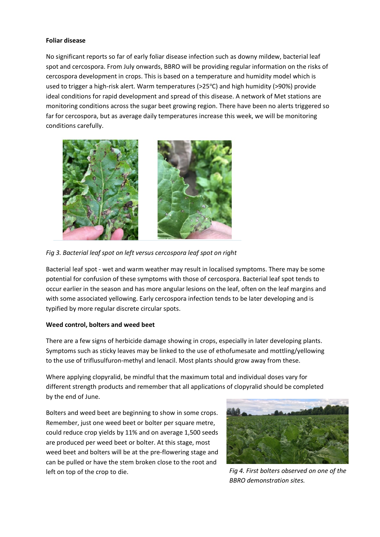#### **Foliar disease**

No significant reports so far of early foliar disease infection such as downy mildew, bacterial leaf spot and cercospora. From July onwards, BBRO will be providing regular information on the risks of cercospora development in crops. This is based on a temperature and humidity model which is used to trigger a high-risk alert. Warm temperatures (>25°C) and high humidity (>90%) provide ideal conditions for rapid development and spread of this disease. A network of Met stations are monitoring conditions across the sugar beet growing region. There have been no alerts triggered so far for cercospora, but as average daily temperatures increase this week, we will be monitoring conditions carefully.



*Fig 3. Bacterial leaf spot on left versus cercospora leaf spot on right*

Bacterial leaf spot - wet and warm weather may result in localised symptoms. There may be some potential for confusion of these symptoms with those of cercospora. Bacterial leaf spot tends to occur earlier in the season and has more angular lesions on the leaf, often on the leaf margins and with some associated yellowing. Early cercospora infection tends to be later developing and is typified by more regular discrete circular spots.

### **Weed control, bolters and weed beet**

There are a few signs of herbicide damage showing in crops, especially in later developing plants. Symptoms such as sticky leaves may be linked to the use of ethofumesate and mottling/yellowing to the use of triflusulfuron-methyl and lenacil. Most plants should grow away from these.

Where applying clopyralid, be mindful that the maximum total and individual doses vary for different strength products and remember that all applications of clopyralid should be completed by the end of June.

Bolters and weed beet are beginning to show in some crops. Remember, just one weed beet or bolter per square metre, could reduce crop yields by 11% and on average 1,500 seeds are produced per weed beet or bolter. At this stage, most weed beet and bolters will be at the pre-flowering stage and can be pulled or have the stem broken close to the root and left on top of the crop to die. *Fig 4. First bolters observed on one of the* 



*BBRO demonstration sites.*